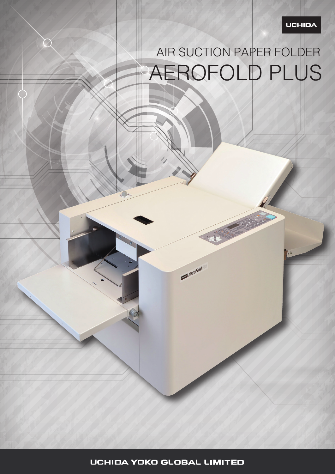### UCHIDA

# AIR SUCTION PAPER FOLDER ROFOLD PLUS

**UCHIDA YOKO GLOBAL LIMITED** 

 $\bullet$ 

 $\qquad \qquad \overbrace{Aer^{o}}^{Folld}$